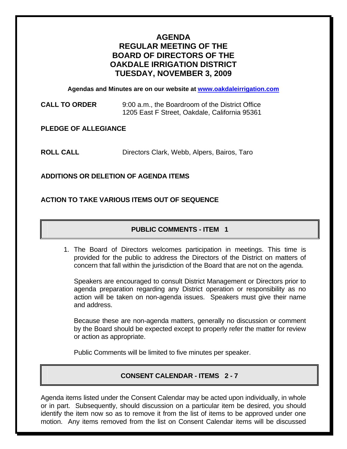# **AGENDA REGULAR MEETING OF THE BOARD OF DIRECTORS OF THE OAKDALE IRRIGATION DISTRICT TUESDAY, NOVEMBER 3, 2009**

**Agendas and Minutes are on our website at [www.oakdaleirrigation.com](http://www.oakdaleirrigation.com/)**

**CALL TO ORDER** 9:00 a.m., the Boardroom of the District Office 1205 East F Street, Oakdale, California 95361

**PLEDGE OF ALLEGIANCE** 

**ROLL CALL** Directors Clark, Webb, Alpers, Bairos, Taro

**ADDITIONS OR DELETION OF AGENDA ITEMS** 

## **ACTION TO TAKE VARIOUS ITEMS OUT OF SEQUENCE**

## **PUBLIC COMMENTS - ITEM 1**

1. The Board of Directors welcomes participation in meetings. This time is provided for the public to address the Directors of the District on matters of concern that fall within the jurisdiction of the Board that are not on the agenda.

Speakers are encouraged to consult District Management or Directors prior to agenda preparation regarding any District operation or responsibility as no action will be taken on non-agenda issues. Speakers must give their name and address.

Because these are non-agenda matters, generally no discussion or comment by the Board should be expected except to properly refer the matter for review or action as appropriate.

Public Comments will be limited to five minutes per speaker.

## **CONSENT CALENDAR - ITEMS 2 - 7**

Agenda items listed under the Consent Calendar may be acted upon individually, in whole or in part. Subsequently, should discussion on a particular item be desired, you should identify the item now so as to remove it from the list of items to be approved under one motion. Any items removed from the list on Consent Calendar items will be discussed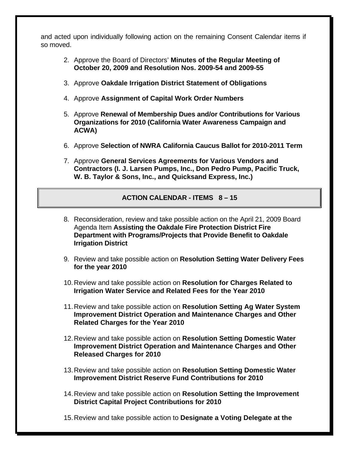and acted upon individually following action on the remaining Consent Calendar items if so moved.

- 2. Approve the Board of Directors' **Minutes of the Regular Meeting of October 20, 2009 and Resolution Nos. 2009-54 and 2009-55**
- 3. Approve **Oakdale Irrigation District Statement of Obligations**
- 4. Approve **Assignment of Capital Work Order Numbers**
- 5. Approve **Renewal of Membership Dues and/or Contributions for Various Organizations for 2010 (California Water Awareness Campaign and ACWA)**
- 6. Approve **Selection of NWRA California Caucus Ballot for 2010-2011 Term**
- 7. Approve **General Services Agreements for Various Vendors and Contractors (I. J. Larsen Pumps, Inc., Don Pedro Pump, Pacific Truck, W. B. Taylor & Sons, Inc., and Quicksand Express, Inc.)**

#### **ACTION CALENDAR - ITEMS 8 – 15**

- 8. Reconsideration, review and take possible action on the April 21, 2009 Board Agenda Item **Assisting the Oakdale Fire Protection District Fire Department with Programs/Projects that Provide Benefit to Oakdale Irrigation District**
- 9. Review and take possible action on **Resolution Setting Water Delivery Fees for the year 2010**
- 10. Review and take possible action on **Resolution for Charges Related to Irrigation Water Service and Related Fees for the Year 2010**
- 11. Review and take possible action on **Resolution Setting Ag Water System Improvement District Operation and Maintenance Charges and Other Related Charges for the Year 2010**
- 12. Review and take possible action on **Resolution Setting Domestic Water Improvement District Operation and Maintenance Charges and Other Released Charges for 2010**
- 13. Review and take possible action on **Resolution Setting Domestic Water Improvement District Reserve Fund Contributions for 2010**
- 14. Review and take possible action on **Resolution Setting the Improvement District Capital Project Contributions for 2010**
- 15. Review and take possible action to **Designate a Voting Delegate at the**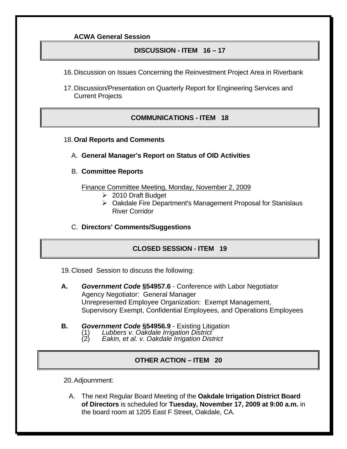#### **ACWA General Session**

#### **DISCUSSION - ITEM 16 – 17**

- 16. Discussion on Issues Concerning the Reinvestment Project Area in Riverbank
- 17. Discussion/Presentation on Quarterly Report for Engineering Services and Current Projects

## **COMMUNICATIONS - ITEM 18**

- 18.**Oral Reports and Comments**
	- A. **General Manager's Report on Status of OID Activities**
	- B. **Committee Reports**

Finance Committee Meeting, Monday, November 2, 2009

- $\geq 2010$  Draft Budget
- ¾ Oakdale Fire Department's Management Proposal for Stanislaus River Corridor
- C. **Directors' Comments/Suggestions**

#### **CLOSED SESSION - ITEM 19**

19. Closed Session to discuss the following:

- **A.** *Government Code* **§54957.6** Conference with Labor Negotiator Agency Negotiator: General Manager Unrepresented Employee Organization: Exempt Management, Supervisory Exempt, Confidential Employees, and Operations Employees
- **B.** *Government Code* **§54956.9 Existing Litigation** (1) Lubbers v. Oakdale Irrigation District
	- (1) *Lubbers v. Oakdale Irrigation District* (2) *Eakin, et al. v. Oakdale Irrigation District* 
		-

#### **OTHER ACTION – ITEM 20**

20. Adjournment:

A. The next Regular Board Meeting of the **Oakdale Irrigation District Board of Directors** is scheduled for **Tuesday, November 17, 2009 at 9:00 a.m.** in the board room at 1205 East F Street, Oakdale, CA.